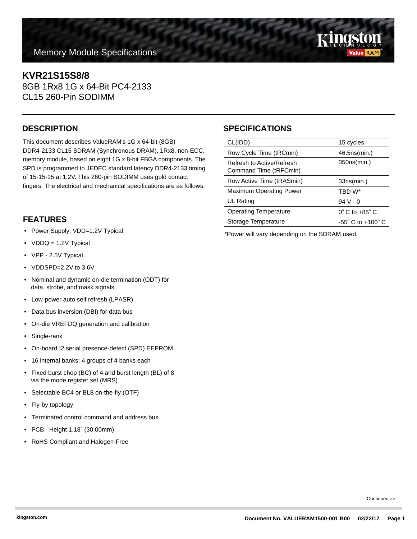# **Memory Module Specifications**

# **KVR21S15S8/8**

8GB 1Rx8 1G x 64-Bit PC4-2133 CL15 260-Pin SODIMM

This document describes ValueRAM's 1G x 64-bit (8GB) DDR4-2133 CL15 SDRAM (Synchronous DRAM), 1Rx8, non-ECC, memory module, based on eight 1G x 8-bit FBGA components. The SPD is programmed to JEDEC standard latency DDR4-2133 timing of 15-15-15 at 1.2V. This 260-pin SODIMM uses gold contact fingers. The electrical and mechanical specifications are as follows:

### **FEATURES**

- Power Supply: VDD=1.2V Typical
- VDDQ = 1.2V Typical
- VPP 2.5V Typical
- VDDSPD=2.2V to 3.6V
- Nominal and dynamic on-die termination (ODT) for data, strobe, and mask signals
- Low-power auto self refresh (LPASR)
- Data bus inversion (DBI) for data bus
- On-die VREFDQ generation and calibration
- Single-rank
- On-board I2 serial presence-detect (SPD) EEPROM
- 16 internal banks; 4 groups of 4 banks each
- Fixed burst chop (BC) of 4 and burst length (BL) of 8 via the mode register set (MRS)
- Selectable BC4 or BL8 on-the-fly (OTF)
- Fly-by topology
- Terminated control command and address bus
- PCB: Height 1.18" (30.00mm)
- RoHS Compliant and Halogen-Free

# **DESCRIPTION SPECIFICATIONS**

| CL(IDD)                                             | 15 cycles                           |
|-----------------------------------------------------|-------------------------------------|
| Row Cycle Time (tRCmin)                             | 46.5ns(min.)                        |
| Refresh to Active/Refresh<br>Command Time (tRFCmin) | 350ns(min.)                         |
| Row Active Time (tRASmin)                           | 33ns(min.)                          |
| <b>Maximum Operating Power</b>                      | TBD W*                              |
| UL Rating                                           | $94V - 0$                           |
| <b>Operating Temperature</b>                        | $0^{\circ}$ C to +85 $^{\circ}$ C   |
| Storage Temperature                                 | $-55^{\circ}$ C to $+100^{\circ}$ C |
|                                                     |                                     |

\*Power will vary depending on the SDRAM used.